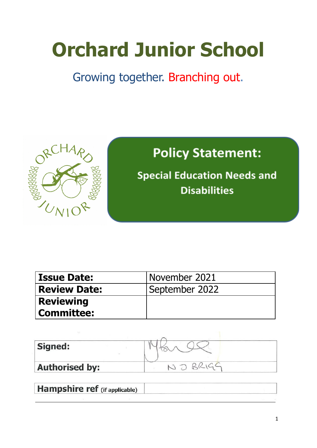# **Orchard Junior School**

# Growing together. Branching out.



# **Policy Statement:**

**Special Education Needs and Disabilities** 

| <b>Issue Date:</b>  | November 2021  |
|---------------------|----------------|
| <b>Review Date:</b> | September 2022 |
| <b>Reviewing</b>    |                |
| <b>Committee:</b>   |                |
|                     |                |

| Signed:               |  |
|-----------------------|--|
| <b>Authorised by:</b> |  |

| <b>Hampshire ref</b> (if applicable) |  |
|--------------------------------------|--|
|                                      |  |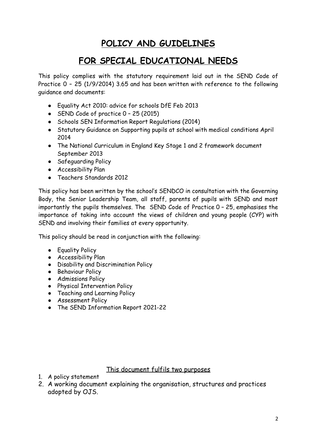## **POLICY AND GUIDELINES**

### **FOR SPECIAL EDUCATIONAL NEEDS**

This policy complies with the statutory requirement laid out in the SEND Code of Practice 0 – 25 (1/9/2014) 3.65 and has been written with reference to the following guidance and documents:

- Equality Act 2010: advice for schools DfE Feb 2013
- SEND Code of practice 0 25 (2015)
- Schools SEN Information Report Regulations (2014)
- Statutory Guidance on Supporting pupils at school with medical conditions April 2014
- The National Curriculum in England Key Stage 1 and 2 framework document September 2013
- Safeguarding Policy
- Accessibility Plan
- Teachers Standards 2012

This policy has been written by the school's SENDCO in consultation with the Governing Body, the Senior Leadership Team, all staff, parents of pupils with SEND and most importantly the pupils themselves. The SEND Code of Practice 0 – 25, emphasises the importance of taking into account the views of children and young people (CYP) with SEND and involving their families at every opportunity.

This policy should be read in conjunction with the following:

- Equality Policy
- Accessibility Plan
- Disability and Discrimination Policy
- Behaviour Policy
- Admissions Policy
- Physical Intervention Policy
- Teaching and Learning Policy
- Assessment Policy
- The SEND Information Report 2021-22

#### This document fulfils two purposes

- 1. A policy statement
- 2. A working document explaining the organisation, structures and practices adopted by OJS.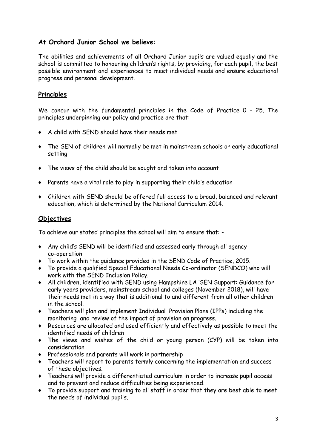#### **At Orchard Junior School we believe:**

The abilities and achievements of all Orchard Junior pupils are valued equally and the school is committed to honouring children's rights, by providing, for each pupil, the best possible environment and experiences to meet individual needs and ensure educational progress and personal development.

#### **Principles**

We concur with the fundamental principles in the Code of Practice 0 - 25. The principles underpinning our policy and practice are that: -

- ♦ A child with SEND should have their needs met
- ♦ The SEN of children will normally be met in mainstream schools or early educational setting
- ♦ The views of the child should be sought and taken into account
- ♦ Parents have a vital role to play in supporting their child's education
- ♦ Children with SEND should be offered full access to a broad, balanced and relevant education, which is determined by the National Curriculum 2014.

#### **Objectives**

To achieve our stated principles the school will aim to ensure that: -

- ♦ Any child's SEND will be identified and assessed early through all agency co-operation
- ♦ To work within the guidance provided in the SEND Code of Practice, 2015.
- ♦ To provide a qualified Special Educational Needs Co-ordinator (SENDCO) who will work with the SEND Inclusion Policy.
- ♦ All children, identified with SEND using Hampshire LA 'SEN Support: Guidance for early years providers, mainstream school and colleges (November 2018), will have their needs met in a way that is additional to and different from all other children in the school.
- ♦ Teachers will plan and implement Individual Provision Plans (IPPs) including the monitoring and review of the impact of provision on progress.
- ♦ Resources are allocated and used efficiently and effectively as possible to meet the identified needs of children
- ♦ The views and wishes of the child or young person (CYP) will be taken into consideration
- ♦ Professionals and parents will work in partnership
- ♦ Teachers will report to parents termly concerning the implementation and success of these objectives.
- ♦ Teachers will provide a differentiated curriculum in order to increase pupil access and to prevent and reduce difficulties being experienced.
- ♦ To provide support and training to all staff in order that they are best able to meet the needs of individual pupils.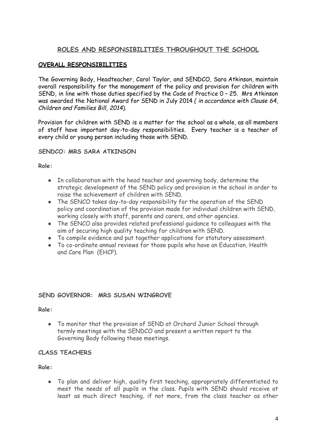#### **ROLES AND RESPONSIBILITIES THROUGHOUT THE SCHOOL**

#### **OVERALL RESPONSIBILITIES**

The Governing Body, Headteacher, Carol Taylor, and SENDCO, Sara Atkinson, maintain overall responsibility for the management of the policy and provision for children with SEND, in line with those duties specified by the Code of Practice 0 – 25. Mrs Atkinson was awarded the National Award for SEND in July 2014 *( in accordance with Clause 64, Children and Families Bill, 2014*).

Provision for children with SEND is a matter for the school as a whole, as all members of staff have important day-to-day responsibilities. Every teacher is a teacher of every child or young person including those with SEND.

#### **SENDCO: MRS SARA ATKINSON**

#### **Role:**

- In collaboration with the head teacher and governing body, determine the strategic development of the SEND policy and provision in the school in order to raise the achievement of children with SEND.
- The SENCO takes day-to-day responsibility for the operation of the SEND policy and coordination of the provision made for individual children with SEND, working closely with staff, parents and carers, and other agencies.
- The SENCO also provides related professional guidance to colleagues with the aim of securing high quality teaching for children with SEND.
- To compile evidence and put together applications for statutory assessment.
- To co-ordinate annual reviews for those pupils who have an Education, Health and Care Plan (EHCP).

#### **SEND GOVERNOR: MRS SUSAN WINGROVE**

#### **Role:**

● To monitor that the provision of SEND at Orchard Junior School through termly meetings with the SENDCO and present a written report to the Governing Body following these meetings.

#### **CLASS TEACHERS**

#### **Role:**

● To plan and deliver high, quality first teaching, appropriately differentiated to meet the needs of all pupils in the class. Pupils with SEND should receive at least as much direct teaching, if not more, from the class teacher as other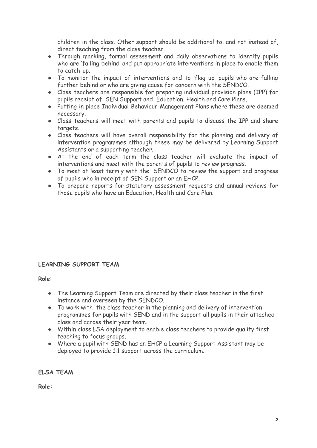children in the class. Other support should be additional to, and not instead of, direct teaching from the class teacher.

- Through marking, formal assessment and daily observations to identify pupils who are 'falling behind' and put appropriate interventions in place to enable them to catch-up.
- To monitor the impact of interventions and to 'flag up' pupils who are falling further behind or who are giving cause for concern with the SENDCO.
- Class teachers are responsible for preparing individual provision plans (IPP) for pupils receipt of SEN Support and Education, Health and Care Plans.
- Putting in place Individual Behaviour Management Plans where these are deemed necessary.
- Class teachers will meet with parents and pupils to discuss the IPP and share targets.
- Class teachers will have overall responsibility for the planning and delivery of intervention programmes although these may be delivered by Learning Support Assistants or a supporting teacher.
- At the end of each term the class teacher will evaluate the impact of interventions and meet with the parents of pupils to review progress.
- To meet at least termly with the SENDCO to review the support and progress of pupils who in receipt of SEN Support or an EHCP.
- To prepare reports for statutory assessment requests and annual reviews for those pupils who have an Education, Health and Care Plan.

#### **LEARNING SUPPORT TEAM**

**Role**:

- The Learning Support Team are directed by their class teacher in the first instance and overseen by the SENDCO.
- To work with the class teacher in the planning and delivery of intervention programmes for pupils with SEND and in the support all pupils in their attached class and across their year team.
- Within class LSA deployment to enable class teachers to provide quality first teaching to focus groups.
- Where a pupil with SEND has an EHCP a Learning Support Assistant may be deployed to provide 1:1 support across the curriculum.

**ELSA TEAM**

**Role:**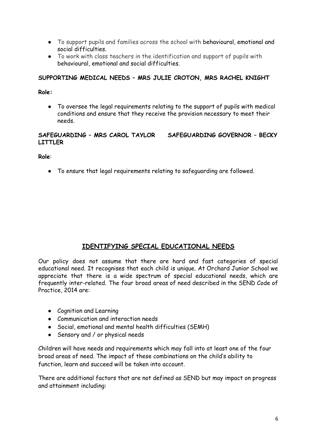- To support pupils and families across the school with behavioural, emotional and social difficulties.
- To work with class teachers in the identification and support of pupils with behavioural, emotional and social difficulties.

#### **SUPPORTING MEDICAL NEEDS – MRS JULIE CROTON, MRS RACHEL KNIGHT**

**Role:**

● To oversee the legal requirements relating to the support of pupils with medical conditions and ensure that they receive the provision necessary to meet their needs.

#### **SAFEGUARDING – MRS CAROL TAYLOR SAFEGUARDING GOVERNOR – BECKY LITTLER**

**Role**:

● To ensure that legal requirements relating to safeguarding are followed.

#### **IDENTIFYING SPECIAL EDUCATIONAL NEEDS**

Our policy does not assume that there are hard and fast categories of special educational need. It recognises that each child is unique. At Orchard Junior School we appreciate that there is a wide spectrum of special educational needs, which are frequently inter-related. The four broad areas of need described in the SEND Code of Practice, 2014 are:

- Cognition and Learning
- Communication and interaction needs
- Social, emotional and mental health difficulties (SEMH)
- Sensory and / or physical needs

Children will have needs and requirements which may fall into at least one of the four broad areas of need. The impact of these combinations on the child's ability to function, learn and succeed will be taken into account.

There are additional factors that are not defined as SEND but may impact on progress and attainment including: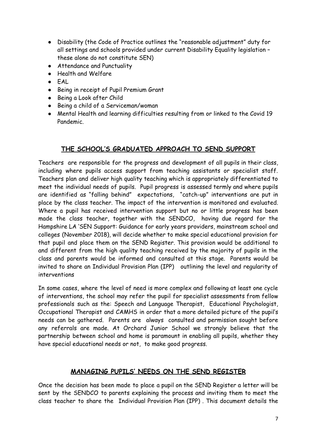- Disability (the Code of Practice outlines the "reasonable adjustment" duty for all settings and schools provided under current Disability Equality legislation – these alone do not constitute SEN)
- Attendance and Punctuality
- Health and Welfare
- EAL
- Being in receipt of Pupil Premium Grant
- Being a Look after Child
- Being a child of a Serviceman/woman
- Mental Health and learning difficulties resulting from or linked to the Covid 19 Pandemic.

#### **THE SCHOOL'S GRADUATED APPROACH TO SEND SUPPORT**

Teachers are responsible for the progress and development of all pupils in their class, including where pupils access support from teaching assistants or specialist staff. Teachers plan and deliver high quality teaching which is appropriately differentiated to meet the individual needs of pupils. Pupil progress is assessed termly and where pupils are identified as "falling behind" expectations, "catch-up" interventions are put in place by the class teacher. The impact of the intervention is monitored and evaluated. Where a pupil has received intervention support but no or little progress has been made the class teacher, together with the SENDCO, having due regard for the Hampshire LA 'SEN Support: Guidance for early years providers, mainstream school and colleges (November 2018), will decide whether to make special educational provision for that pupil and place them on the SEND Register. This provision would be additional to and different from the high quality teaching received by the majority of pupils in the class and parents would be informed and consulted at this stage. Parents would be invited to share an Individual Provision Plan (IPP) outlining the level and regularity of interventions

In some cases, where the level of need is more complex and following at least one cycle of interventions, the school may refer the pupil for specialist assessments from fellow professionals such as the: Speech and Language Therapist, Educational Psychologist, Occupational Therapist and CAMHS in order that a more detailed picture of the pupil's needs can be gathered. Parents are always consulted and permission sought before any referrals are made. At Orchard Junior School we strongly believe that the partnership between school and home is paramount in enabling all pupils, whether they have special educational needs or not, to make good progress.

#### **MANAGING PUPILS' NEEDS ON THE SEND REGISTER**

Once the decision has been made to place a pupil on the SEND Register a letter will be sent by the SENDCO to parents explaining the process and inviting them to meet the class teacher to share the Individual Provision Plan (IPP) . This document details the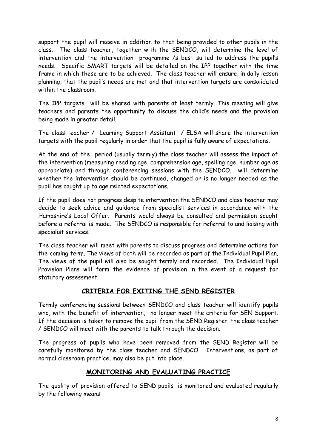support the pupil will receive in addition to that being provided to other pupils in the class. The class teacher, together with the SENDCO, will determine the level of intervention and the intervention programme /s best suited to address the pupil's needs. Specific SMART targets will be detailed on the IPP together with the time frame in which these are to be achieved. The class teacher will ensure, in daily lesson planning, that the pupil's needs are met and that intervention targets are consolidated within the classroom.

The IPP targets will be shared with parents at least termly. This meeting will give teachers and parents the opportunity to discuss the child's needs and the provision being made in greater detail.

The class teacher / Learning Support Assistant / ELSA will share the intervention targets with the pupil regularly in order that the pupil is fully aware of expectations.

At the end of the period (usually termly) the class teacher will assess the impact of the intervention (measuring reading age, comprehension age, spelling age, number age as appropriate) and through conferencing sessions with the SENDCO, will determine whether the intervention should be continued, changed or is no longer needed as the pupil has caught up to age related expectations.

If the pupil does not progress despite intervention the SENDCO and class teacher may decide to seek advice and guidance from specialist services in accordance with the Hampshire's Local Offer. Parents would always be consulted and permission sought before a referral is made. The SENDCO is responsible for referral to and liaising with specialist services.

The class teacher will meet with parents to discuss progress and determine actions for the coming term. The views of both will be recorded as part of the Individual Pupil Plan. The views of the pupil will also be sought termly and recorded. The Individual Pupil Provision Plans will form the evidence of provision in the event of a request for statutory assessment.

#### **CRITERIA FOR EXITING THE SEND REGISTER**

Termly conferencing sessions between SENDCO and class teacher will identify pupils who, with the benefit of intervention, no longer meet the criteria for SEN Support. If the decision is taken to remove the pupil from the SEND Register. the class teacher / SENDCO will meet with the parents to talk through the decision.

The progress of pupils who have been removed from the SEND Register will be carefully monitored by the class teacher and SENDCO. Interventions, as part of normal classroom practice, may also be put into place.

#### **MONITORING AND EVALUATING PRACTICE**

The quality of provision offered to SEND pupils is monitored and evaluated regularly by the following means: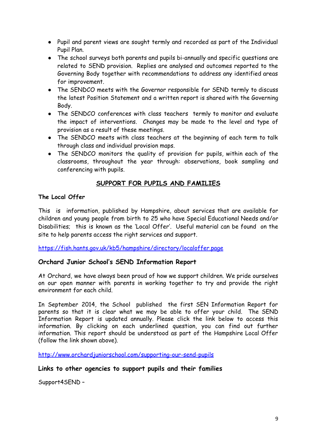- Pupil and parent views are sought termly and recorded as part of the Individual Pupil Plan.
- The school surveys both parents and pupils bi-annually and specific questions are related to SEND provision. Replies are analysed and outcomes reported to the Governing Body together with recommendations to address any identified areas for improvement.
- The SENDCO meets with the Governor responsible for SEND termly to discuss the latest Position Statement and a written report is shared with the Governing Body.
- The SENDCO conferences with class teachers termly to monitor and evaluate the impact of interventions. Changes may be made to the level and type of provision as a result of these meetings.
- The SENDCO meets with class teachers at the beginning of each term to talk through class and individual provision maps.
- The SENDCO monitors the quality of provision for pupils, within each of the classrooms, throughout the year through: observations, book sampling and conferencing with pupils.

#### **SUPPORT FOR PUPILS AND FAMILIES**

#### **The Local Offer**

This is information, published by Hampshire, about services that are available for children and young people from birth to 25 who have Special Educational Needs and/or Disabilities; this is known as the 'Local Offer'. Useful material can be found on the site to help parents access the right services and support.

<https://fish.hants.gov.uk/kb5/hampshire/directory/localoffer.page>

#### **Orchard Junior School's SEND Information Report**

At Orchard, we have always been proud of how we support children. We pride ourselves on our open manner with parents in working together to try and provide the right environment for each child.

In September 2014, the School published the first SEN Information Report for parents so that it is clear what we may be able to offer your child. The SEND Information Report is updated annually. Please click the link below to access this information. By clicking on each underlined question, you can find out further information. This report should be understood as part of the Hampshire Local Offer (follow the link shown above).

<http://www.orchardjuniorschool.com/supporting-our-send-pupils>

#### **Links to other agencies to support pupils and their families**

Support4SEND –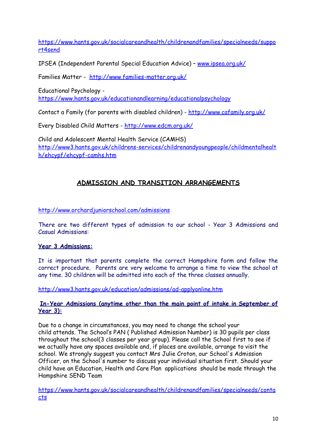[https://www.hants.gov.uk/socialcareandhealth/childrenandfamilies/specialneeds/suppo](https://www.hants.gov.uk/socialcareandhealth/childrenandfamilies/specialneeds/support4send) [rt4send](https://www.hants.gov.uk/socialcareandhealth/childrenandfamilies/specialneeds/support4send)

IPSEA (Independent Parental Special Education Advice) – [www.ipsea.org.uk/](http://www.ipsea.org.uk/)

Families Matter - <http://www.families-matter.org.uk/>

Educational Psychology -

<https://www.hants.gov.uk/educationandlearning/educationalpsychology>

Contact a Family (for parents with disabled children) - <http://www.cafamily.org.uk/>

Every Disabled Child Matters - <http://www.edcm.org.uk/>

Child and Adolescent Mental Health Service (CAMHS) [http://www3.hants.gov.uk/childrens-services/childrenandyoungpeople/childmentalhealt](http://www3.hants.gov.uk/childrens-services/childrenandyoungpeople/childmentalhealth/ehcypf/ehcypf-camhs.htm) [h/ehcypf/ehcypf-camhs.htm](http://www3.hants.gov.uk/childrens-services/childrenandyoungpeople/childmentalhealth/ehcypf/ehcypf-camhs.htm)

#### **ADMISSION AND TRANSITION ARRANGEMENTS**

<http://www.orchardjuniorschool.com/admissions>

There are two different types of admission to our school - Year 3 Admissions and Casual Admissions:

#### **Year 3 Admissions:**

It is important that parents complete the correct Hampshire form and follow the correct procedure. Parents are very welcome to arrange a time to view the school at any time. 30 children will be admitted into each of the three classes annually.

<http://www3.hants.gov.uk/education/admissions/ad-applyonline.htm>

#### **In-Year Admissions (anytime other than the main point of intake in September of Year 3):**

Due to a change in circumstances, you may need to change the school your child attends. The School's PAN ( Published Admission Number) is 30 pupils per class throughout the school(3 classes per year group). Please call the School first to see if we actually have any spaces available and, if places are available, arrange to visit the school. We strongly suggest you contact Mrs Julie Croton, our School's Admission Officer, on the School's number to discuss your individual situation first. Should your child have an Education, Health and Care Plan applications should be made through the Hampshire SEND Team

[https://www.hants.gov.uk/socialcareandhealth/childrenandfamilies/specialneeds/conta](https://www.hants.gov.uk/socialcareandhealth/childrenandfamilies/specialneeds/contacts) [cts](https://www.hants.gov.uk/socialcareandhealth/childrenandfamilies/specialneeds/contacts)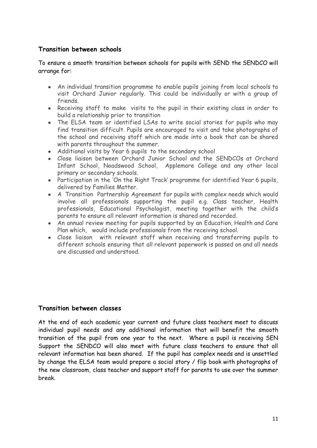#### **Transition between schools**

To ensure a smooth transition between schools for pupils with SEND the SENDCO will arrange for:

- An individual transition programme to enable pupils joining from local schools to visit Orchard Junior regularly. This could be individually or with a group of friends.
- Receiving staff to make visits to the pupil in their existing class in order to build a relationship prior to transition
- The ELSA team or identified LSAs to write social stories for pupils who may find transition difficult. Pupils are encouraged to visit and take photographs of the school and receiving staff which are made into a book that can be shared with parents throughout the summer.
- Additional visits by Year 6 pupils to the secondary school
- Close liaison between Orchard Junior School and the SENDCOs at Orchard Infant School, Noadswood School, Applemore College and any other local primary or secondary schools.
- Participation in the 'On the Right Track' programme for identified Year 6 pupils, delivered by Families Matter.
- A Transition Partnership Agreement for pupils with complex needs which would involve all professionals supporting the pupil e.g. Class teacher, Health professionals, Educational Psychologist, meeting together with the child's parents to ensure all relevant information is shared and recorded.
- An annual review meeting for pupils supported by an Education, Health and Care Plan which, would include professionals from the receiving school.
- Close liaison with relevant staff when receiving and transferring pupils to different schools ensuring that all relevant paperwork is passed on and all needs are discussed and understood.

#### **Transition between classes**

At the end of each academic year current and future class teachers meet to discuss individual pupil needs and any additional information that will benefit the smooth transition of the pupil from one year to the next. Where a pupil is receiving SEN Support the SENDCO will also meet with future class teachers to ensure that all relevant information has been shared. If the pupil has complex needs and is unsettled by change the ELSA team would prepare a social story / flip book with photographs of the new classroom, class teacher and support staff for parents to use over the summer break.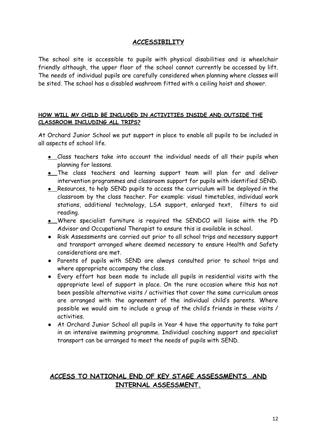#### **ACCESSIBILITY**

The school site is accessible to pupils with physical disabilities and is wheelchair friendly although, the upper floor of the school cannot currently be accessed by lift. The needs of individual pupils are carefully considered when planning where classes will be sited. The school has a disabled washroom fitted with a ceiling hoist and shower.

#### **HOW WILL MY CHILD BE INCLUDED IN ACTIVITIES INSIDE AND OUTSIDE THE CLASSROOM INCLUDING ALL TRIPS?**

At Orchard Junior School we put support in place to enable all pupils to be included in all aspects of school life.

- **●** Class teachers take into account the individual needs of all their pupils when planning for lessons.
- **●** The class teachers and learning support team will plan for and deliver intervention programmes and classroom support for pupils with identified SEND.
- **●** Resources, to help SEND pupils to access the curriculum will be deployed in the classroom by the class teacher. For example: visual timetables, individual work stations, additional technology, LSA support, enlarged text, filters to aid reading.
- **●** Where specialist furniture is required the SENDCO will liaise with the PD Advisor and Occupational Therapist to ensure this is available in school.
- Risk Assessments are carried out prior to all school trips and necessary support and transport arranged where deemed necessary to ensure Health and Safety considerations are met.
- Parents of pupils with SEND are always consulted prior to school trips and where appropriate accompany the class.
- Every effort has been made to include all pupils in residential visits with the appropriate level of support in place. On the rare occasion where this has not been possible alternative visits / activities that cover the same curriculum areas are arranged with the agreement of the individual child's parents. Where possible we would aim to include a group of the child's friends in these visits / activities.
- At Orchard Junior School all pupils in Year 4 have the opportunity to take part in an intensive swimming programme. Individual coaching support and specialist transport can be arranged to meet the needs of pupils with SEND.

#### **ACCESS TO NATIONAL END OF KEY STAGE ASSESSMENTS AND INTERNAL ASSESSMENT.**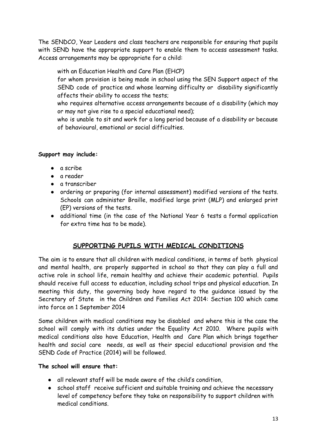The SENDCO, Year Leaders and class teachers are responsible for ensuring that pupils with SEND have the appropriate support to enable them to access assessment tasks. Access arrangements may be appropriate for a child:

with an Education Health and Care Plan (EHCP)

for whom provision is being made in school using the SEN Support aspect of the SEND code of practice and whose learning difficulty or disability significantly affects their ability to access the tests;

who requires alternative access arrangements because of a disability (which may or may not give rise to a special educational need);

who is unable to sit and work for a long period because of a disability or because of behavioural, emotional or social difficulties.

#### **Support may include:**

- **●** a scribe
- **●** a reader
- **●** a transcriber
- **●** ordering or preparing (for internal assessment) modified versions of the tests. Schools can administer Braille, modified large print (MLP) and enlarged print (EP) versions of the tests.
- **●** additional time (in the case of the National Year 6 tests a formal application for extra time has to be made).

#### **SUPPORTING PUPILS WITH MEDICAL CONDITIONS**

The aim is to ensure that all children with medical conditions, in terms of both physical and mental health, are properly supported in school so that they can play a full and active role in school life, remain healthy and achieve their academic potential. Pupils should receive full access to education, including school trips and physical education. In meeting this duty, the governing body have regard to the guidance issued by the Secretary of State in the Children and Families Act 2014: Section 100 which came into force on 1 September 2014

Some children with medical conditions may be disabled and where this is the case the school will comply with its duties under the Equality Act 2010. Where pupils with medical conditions also have Education, Health and Care Plan which brings together health and social care needs, as well as their special educational provision and the SEND Code of Practice (2014) will be followed.

#### **The school will ensure that:**

- all relevant staff will be made aware of the child's condition,
- school staff receive sufficient and suitable training and achieve the necessary level of competency before they take on responsibility to support children with medical conditions.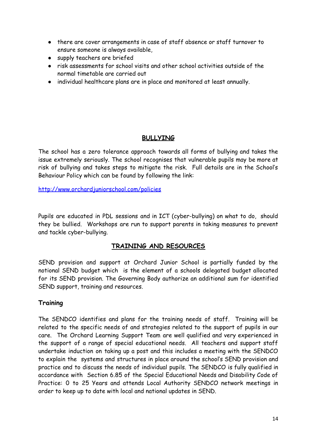- there are cover arrangements in case of staff absence or staff turnover to ensure someone is always available,
- supply teachers are briefed
- risk assessments for school visits and other school activities outside of the normal timetable are carried out
- individual healthcare plans are in place and monitored at least annually.

#### **BULLYING**

The school has a zero tolerance approach towards all forms of bullying and takes the issue extremely seriously. The school recognises that vulnerable pupils may be more at risk of bullying and takes steps to mitigate the risk. Full details are in the School's Behaviour Policy which can be found by following the link:

<http://www.orchardjuniorschool.com/policies>

Pupils are educated in PDL sessions and in ICT (cyber-bullying) on what to do, should they be bullied. Workshops are run to support parents in taking measures to prevent and tackle cyber-bullying.

#### **TRAINING AND RESOURCES**

SEND provision and support at Orchard Junior School is partially funded by the notional SEND budget which is the element of a schools delegated budget allocated for its SEND provision. The Governing Body authorize an additional sum for identified SEND support, training and resources.

#### **Training**

The SENDCO identifies and plans for the training needs of staff. Training will be related to the specific needs of and strategies related to the support of pupils in our care. The Orchard Learning Support Team are well qualified and very experienced in the support of a range of special educational needs. All teachers and support staff undertake induction on taking up a post and this includes a meeting with the SENDCO to explain the systems and structures in place around the school's SEND provision and practice and to discuss the needs of individual pupils. The SENDCO is fully qualified in accordance with Section 6.85 of the Special Educational Needs and Disability Code of Practice: 0 to 25 Years and attends Local Authority SENDCO network meetings in order to keep up to date with local and national updates in SEND.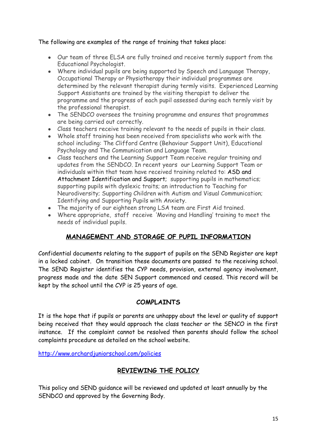#### The following are examples of the range of training that takes place:

- Our team of three ELSA are fully trained and receive termly support from the Educational Psychologist.
- Where individual pupils are being supported by Speech and Language Therapy, Occupational Therapy or Physiotherapy their individual programmes are determined by the relevant therapist during termly visits. Experienced Learning Support Assistants are trained by the visiting therapist to deliver the programme and the progress of each pupil assessed during each termly visit by the professional therapist.
- The SENDCO oversees the training programme and ensures that programmes are being carried out correctly.
- Class teachers receive training relevant to the needs of pupils in their class.
- Whole staff training has been received from specialists who work with the school including: The Clifford Centre (Behaviour Support Unit), Educational Psychology and The Communication and Language Team.
- Class teachers and the Learning Support Team receive regular training and updates from the SENDCO. In recent years our Learning Support Team or individuals within that team have received training related to: ASD and Attachment Identification and Support; supporting pupils in mathematics; supporting pupils with dyslexic traits; an introduction to Teaching for Neurodiversity; Supporting Children with Autism and Visual Communication; Identifying and Supporting Pupils with Anxiety.
- The majority of our eighteen strong LSA team are First Aid trained.
- Where appropriate, staff receive 'Moving and Handling' training to meet the needs of individual pupils.

#### **MANAGEMENT AND STORAGE OF PUPIL INFORMATION**

Confidential documents relating to the support of pupils on the SEND Register are kept in a locked cabinet. On transition these documents are passed to the receiving school. The SEND Register identifies the CYP needs, provision, external agency involvement, progress made and the date SEN Support commenced and ceased. This record will be kept by the school until the CYP is 25 years of age.

#### **COMPLAINTS**

It is the hope that if pupils or parents are unhappy about the level or quality of support being received that they would approach the class teacher or the SENCO in the first instance. If the complaint cannot be resolved then parents should follow the school complaints procedure as detailed on the school website.

http://www.orchardiuniorschool.com/policies

#### **REVIEWING THE POLICY**

This policy and SEND guidance will be reviewed and updated at least annually by the SENDCO and approved by the Governing Body.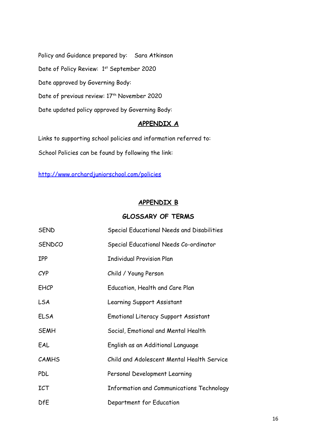Policy and Guidance prepared by: Sara Atkinson Date of Policy Review: 1st September 2020 Date approved by Governing Body: Date of previous review: 17<sup>th</sup> November 2020 Date updated policy approved by Governing Body:

#### **APPENDIX A**

Links to supporting school policies and information referred to: School Policies can be found by following the link:

<http://www.orchardjuniorschool.com/policies>

#### **APPENDIX B**

#### **GLOSSARY OF TERMS**

| <b>SEND</b>   | Special Educational Needs and Disabilities |
|---------------|--------------------------------------------|
| <b>SENDCO</b> | Special Educational Needs Co-ordinator     |
| <b>IPP</b>    | <b>Individual Provision Plan</b>           |
| CYP           | Child / Young Person                       |
| <b>EHCP</b>   | Education, Health and Care Plan            |
| <b>LSA</b>    | Learning Support Assistant                 |
| <b>ELSA</b>   | Emotional Literacy Support Assistant       |
| <b>SEMH</b>   | Social, Emotional and Mental Health        |
| EAL           | English as an Additional Language          |
| <b>CAMHS</b>  | Child and Adolescent Mental Health Service |
| <b>PDL</b>    | Personal Development Learning              |
| <b>ICT</b>    | Information and Communications Technology  |
| <b>DfE</b>    | Department for Education                   |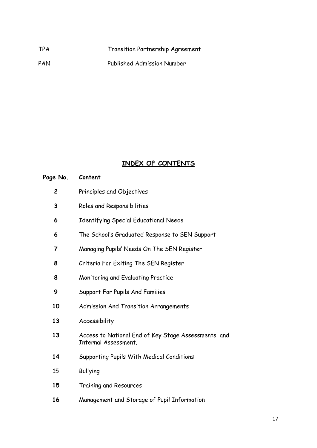| <b>TPA</b> | Transition Partnership Agreement  |
|------------|-----------------------------------|
| PAN        | <b>Published Admission Number</b> |

### **INDEX OF CONTENTS**

| Page No.       | Content                                                                     |
|----------------|-----------------------------------------------------------------------------|
| 2              | Principles and Objectives                                                   |
| 3              | Roles and Responsibilities                                                  |
| 6              | <b>Identifying Special Educational Needs</b>                                |
| 6              | The School's Graduated Response to SEN Support                              |
| $\overline{7}$ | Managing Pupils' Needs On The SEN Register                                  |
| 8              | Criteria For Exiting The SEN Register                                       |
| 8              | Monitoring and Evaluating Practice                                          |
| 9              | Support For Pupils And Families                                             |
| 10             | Admission And Transition Arrangements                                       |
| 13             | Accessibility                                                               |
| 13             | Access to National End of Key Stage Assessments and<br>Internal Assessment. |
| 14             | Supporting Pupils With Medical Conditions                                   |
| 15             | <b>Bullying</b>                                                             |
| 15             | Training and Resources                                                      |
| 16             | Management and Storage of Pupil Information                                 |